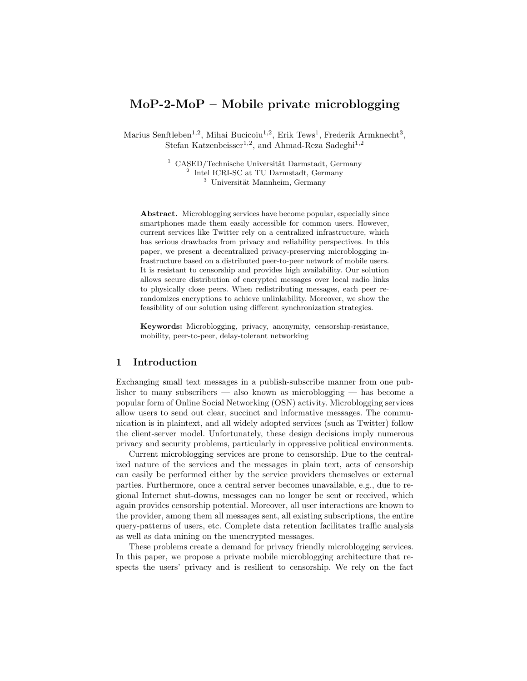# MoP-2-MoP – Mobile private microblogging

Marius Senftleben<sup>1,2</sup>, Mihai Bucicoiu<sup>1,2</sup>, Erik Tews<sup>1</sup>, Frederik Armknecht<sup>3</sup>, Stefan Katzenbeisser<sup>1,2</sup>, and Ahmad-Reza Sadeghi<sup>1,2</sup>

> $1~$  CASED/Technische Universität Darmstadt, Germany 2 Intel ICRI-SC at TU Darmstadt, Germany  $3$  Universität Mannheim, Germany

Abstract. Microblogging services have become popular, especially since smartphones made them easily accessible for common users. However, current services like Twitter rely on a centralized infrastructure, which has serious drawbacks from privacy and reliability perspectives. In this paper, we present a decentralized privacy-preserving microblogging infrastructure based on a distributed peer-to-peer network of mobile users. It is resistant to censorship and provides high availability. Our solution allows secure distribution of encrypted messages over local radio links to physically close peers. When redistributing messages, each peer rerandomizes encryptions to achieve unlinkability. Moreover, we show the feasibility of our solution using different synchronization strategies.

Keywords: Microblogging, privacy, anonymity, censorship-resistance, mobility, peer-to-peer, delay-tolerant networking

### 1 Introduction

Exchanging small text messages in a publish-subscribe manner from one publisher to many subscribers — also known as microblogging — has become a popular form of Online Social Networking (OSN) activity. Microblogging services allow users to send out clear, succinct and informative messages. The communication is in plaintext, and all widely adopted services (such as Twitter) follow the client-server model. Unfortunately, these design decisions imply numerous privacy and security problems, particularly in oppressive political environments.

Current microblogging services are prone to censorship. Due to the centralized nature of the services and the messages in plain text, acts of censorship can easily be performed either by the service providers themselves or external parties. Furthermore, once a central server becomes unavailable, e.g., due to regional Internet shut-downs, messages can no longer be sent or received, which again provides censorship potential. Moreover, all user interactions are known to the provider, among them all messages sent, all existing subscriptions, the entire query-patterns of users, etc. Complete data retention facilitates traffic analysis as well as data mining on the unencrypted messages.

These problems create a demand for privacy friendly microblogging services. In this paper, we propose a private mobile microblogging architecture that respects the users' privacy and is resilient to censorship. We rely on the fact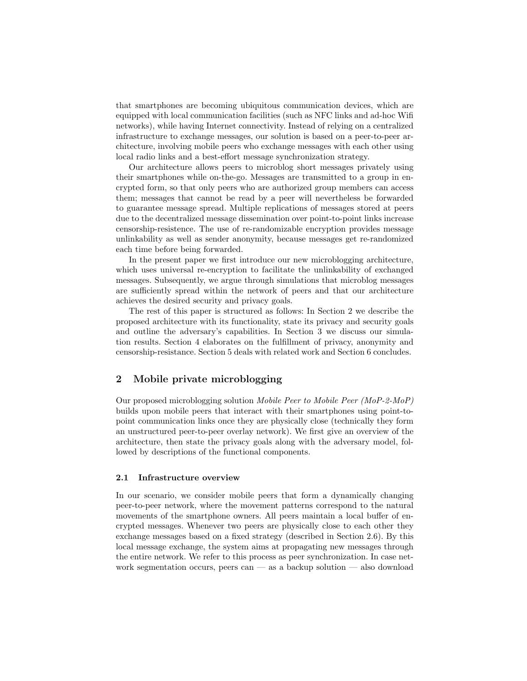that smartphones are becoming ubiquitous communication devices, which are equipped with local communication facilities (such as NFC links and ad-hoc Wifi networks), while having Internet connectivity. Instead of relying on a centralized infrastructure to exchange messages, our solution is based on a peer-to-peer architecture, involving mobile peers who exchange messages with each other using local radio links and a best-effort message synchronization strategy.

Our architecture allows peers to microblog short messages privately using their smartphones while on-the-go. Messages are transmitted to a group in encrypted form, so that only peers who are authorized group members can access them; messages that cannot be read by a peer will nevertheless be forwarded to guarantee message spread. Multiple replications of messages stored at peers due to the decentralized message dissemination over point-to-point links increase censorship-resistence. The use of re-randomizable encryption provides message unlinkability as well as sender anonymity, because messages get re-randomized each time before being forwarded.

In the present paper we first introduce our new microblogging architecture, which uses universal re-encryption to facilitate the unlinkability of exchanged messages. Subsequently, we argue through simulations that microblog messages are sufficiently spread within the network of peers and that our architecture achieves the desired security and privacy goals.

The rest of this paper is structured as follows: In Section 2 we describe the proposed architecture with its functionality, state its privacy and security goals and outline the adversary's capabilities. In Section 3 we discuss our simulation results. Section 4 elaborates on the fulfillment of privacy, anonymity and censorship-resistance. Section 5 deals with related work and Section 6 concludes.

# 2 Mobile private microblogging

Our proposed microblogging solution Mobile Peer to Mobile Peer (MoP-2-MoP) builds upon mobile peers that interact with their smartphones using point-topoint communication links once they are physically close (technically they form an unstructured peer-to-peer overlay network). We first give an overview of the architecture, then state the privacy goals along with the adversary model, followed by descriptions of the functional components.

#### 2.1 Infrastructure overview

In our scenario, we consider mobile peers that form a dynamically changing peer-to-peer network, where the movement patterns correspond to the natural movements of the smartphone owners. All peers maintain a local buffer of encrypted messages. Whenever two peers are physically close to each other they exchange messages based on a fixed strategy (described in Section 2.6). By this local message exchange, the system aims at propagating new messages through the entire network. We refer to this process as peer synchronization. In case network segmentation occurs, peers can — as a backup solution — also download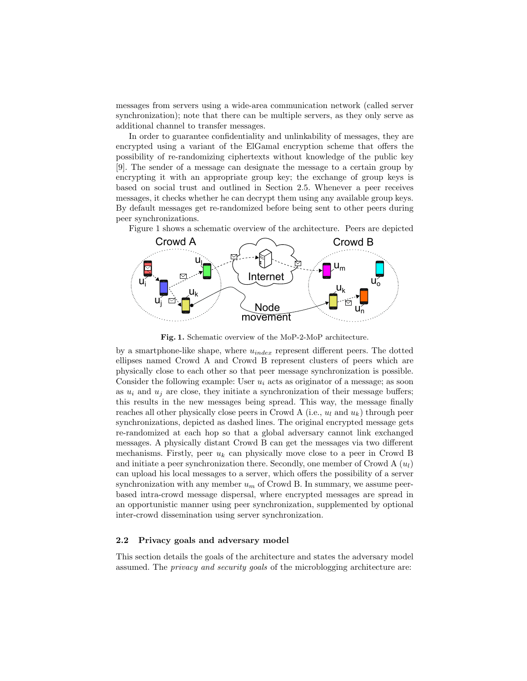messages from servers using a wide-area communication network (called server synchronization); note that there can be multiple servers, as they only serve as additional channel to transfer messages.

In order to guarantee confidentiality and unlinkability of messages, they are encrypted using a variant of the ElGamal encryption scheme that offers the possibility of re-randomizing ciphertexts without knowledge of the public key [9]. The sender of a message can designate the message to a certain group by encrypting it with an appropriate group key; the exchange of group keys is based on social trust and outlined in Section 2.5. Whenever a peer receives messages, it checks whether he can decrypt them using any available group keys. By default messages get re-randomized before being sent to other peers during peer synchronizations.

Figure 1 shows a schematic overview of the architecture. Peers are depicted



Fig. 1. Schematic overview of the MoP-2-MoP architecture.

by a smartphone-like shape, where  $u_{index}$  represent different peers. The dotted ellipses named Crowd A and Crowd B represent clusters of peers which are physically close to each other so that peer message synchronization is possible. Consider the following example: User  $u_i$  acts as originator of a message; as soon as  $u_i$  and  $u_j$  are close, they initiate a synchronization of their message buffers; this results in the new messages being spread. This way, the message finally reaches all other physically close peers in Crowd A (i.e.,  $u_l$  and  $u_k$ ) through peer synchronizations, depicted as dashed lines. The original encrypted message gets re-randomized at each hop so that a global adversary cannot link exchanged messages. A physically distant Crowd B can get the messages via two different mechanisms. Firstly, peer  $u_k$  can physically move close to a peer in Crowd B and initiate a peer synchronization there. Secondly, one member of Crowd A  $(u_l)$ can upload his local messages to a server, which offers the possibility of a server synchronization with any member  $u_m$  of Crowd B. In summary, we assume peerbased intra-crowd message dispersal, where encrypted messages are spread in an opportunistic manner using peer synchronization, supplemented by optional inter-crowd dissemination using server synchronization.

#### 2.2 Privacy goals and adversary model

This section details the goals of the architecture and states the adversary model assumed. The privacy and security goals of the microblogging architecture are: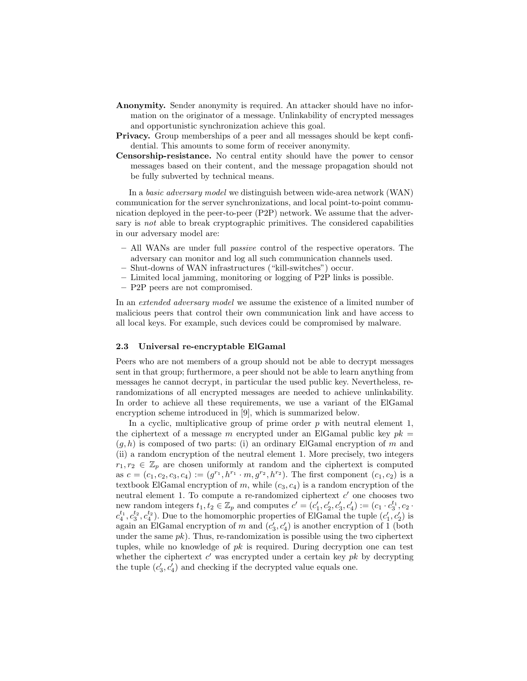- Anonymity. Sender anonymity is required. An attacker should have no information on the originator of a message. Unlinkability of encrypted messages and opportunistic synchronization achieve this goal.
- Privacy. Group memberships of a peer and all messages should be kept confidential. This amounts to some form of receiver anonymity.
- Censorship-resistance. No central entity should have the power to censor messages based on their content, and the message propagation should not be fully subverted by technical means.

In a basic adversary model we distinguish between wide-area network (WAN) communication for the server synchronizations, and local point-to-point communication deployed in the peer-to-peer (P2P) network. We assume that the adversary is *not* able to break cryptographic primitives. The considered capabilities in our adversary model are:

- All WANs are under full passive control of the respective operators. The adversary can monitor and log all such communication channels used.
- Shut-downs of WAN infrastructures ("kill-switches") occur.
- Limited local jamming, monitoring or logging of P2P links is possible.
- P2P peers are not compromised.

In an extended adversary model we assume the existence of a limited number of malicious peers that control their own communication link and have access to all local keys. For example, such devices could be compromised by malware.

#### 2.3 Universal re-encryptable ElGamal

Peers who are not members of a group should not be able to decrypt messages sent in that group; furthermore, a peer should not be able to learn anything from messages he cannot decrypt, in particular the used public key. Nevertheless, rerandomizations of all encrypted messages are needed to achieve unlinkability. In order to achieve all these requirements, we use a variant of the ElGamal encryption scheme introduced in [9], which is summarized below.

In a cyclic, multiplicative group of prime order  $p$  with neutral element 1, the ciphertext of a message m encrypted under an ElGamal public key  $pk =$  $(g, h)$  is composed of two parts: (i) an ordinary ElGamal encryption of m and (ii) a random encryption of the neutral element 1. More precisely, two integers  $r_1, r_2 \in \mathbb{Z}_p$  are chosen uniformly at random and the ciphertext is computed as  $c = (c_1, c_2, c_3, c_4) := (g^{r_1}, h^{r_1} \cdot m, g^{r_2}, h^{r_2})$ . The first component  $(c_1, c_2)$  is a textbook ElGamal encryption of m, while  $(c_3, c_4)$  is a random encryption of the neutral element 1. To compute a re-randomized ciphertext  $c'$  one chooses two new random integers  $t_1, t_2 \in \mathbb{Z}_p$  and computes  $c' = (c'_1, c'_2, c'_3, c'_4) := (c_1 \cdot c_3^{t_1}, c_2 \cdot c'_4)$  $c_4^{t_1}, c_3^{t_2}, c_4^{t_2}$ ). Due to the homomorphic properties of ElGamal the tuple  $(c'_1, c'_2)$  is again an ElGamal encryption of  $m$  and  $(c'_3, c'_4)$  is another encryption of 1 (both under the same  $pk$ ). Thus, re-randomization is possible using the two ciphertext tuples, while no knowledge of  $pk$  is required. During decryption one can test whether the ciphertext  $c'$  was encrypted under a certain key  $pk$  by decrypting the tuple  $(c'_3, c'_4)$  and checking if the decrypted value equals one.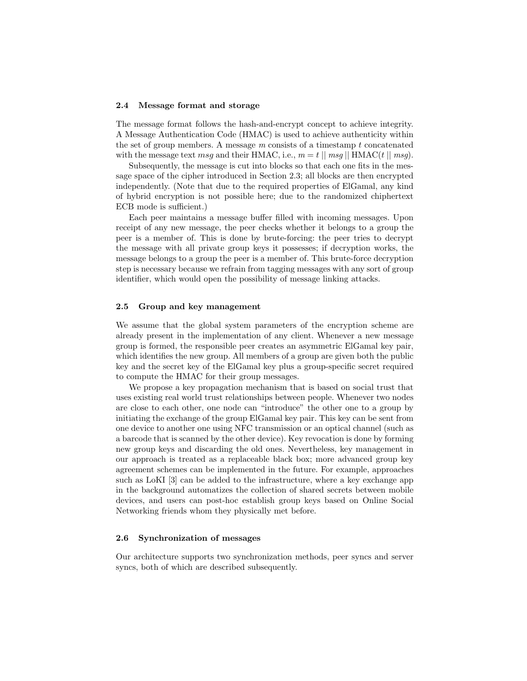#### 2.4 Message format and storage

The message format follows the hash-and-encrypt concept to achieve integrity. A Message Authentication Code (HMAC) is used to achieve authenticity within the set of group members. A message  $m$  consists of a timestamp  $t$  concatenated with the message text msg and their HMAC, i.e.,  $m = t \mid |msg|$  HMAC(t  $| \mid msg|$ ).

Subsequently, the message is cut into blocks so that each one fits in the message space of the cipher introduced in Section 2.3; all blocks are then encrypted independently. (Note that due to the required properties of ElGamal, any kind of hybrid encryption is not possible here; due to the randomized chiphertext ECB mode is sufficient.)

Each peer maintains a message buffer filled with incoming messages. Upon receipt of any new message, the peer checks whether it belongs to a group the peer is a member of. This is done by brute-forcing: the peer tries to decrypt the message with all private group keys it possesses; if decryption works, the message belongs to a group the peer is a member of. This brute-force decryption step is necessary because we refrain from tagging messages with any sort of group identifier, which would open the possibility of message linking attacks.

### 2.5 Group and key management

We assume that the global system parameters of the encryption scheme are already present in the implementation of any client. Whenever a new message group is formed, the responsible peer creates an asymmetric ElGamal key pair, which identifies the new group. All members of a group are given both the public key and the secret key of the ElGamal key plus a group-specific secret required to compute the HMAC for their group messages.

We propose a key propagation mechanism that is based on social trust that uses existing real world trust relationships between people. Whenever two nodes are close to each other, one node can "introduce" the other one to a group by initiating the exchange of the group ElGamal key pair. This key can be sent from one device to another one using NFC transmission or an optical channel (such as a barcode that is scanned by the other device). Key revocation is done by forming new group keys and discarding the old ones. Nevertheless, key management in our approach is treated as a replaceable black box; more advanced group key agreement schemes can be implemented in the future. For example, approaches such as LoKI [3] can be added to the infrastructure, where a key exchange app in the background automatizes the collection of shared secrets between mobile devices, and users can post-hoc establish group keys based on Online Social Networking friends whom they physically met before.

### 2.6 Synchronization of messages

Our architecture supports two synchronization methods, peer syncs and server syncs, both of which are described subsequently.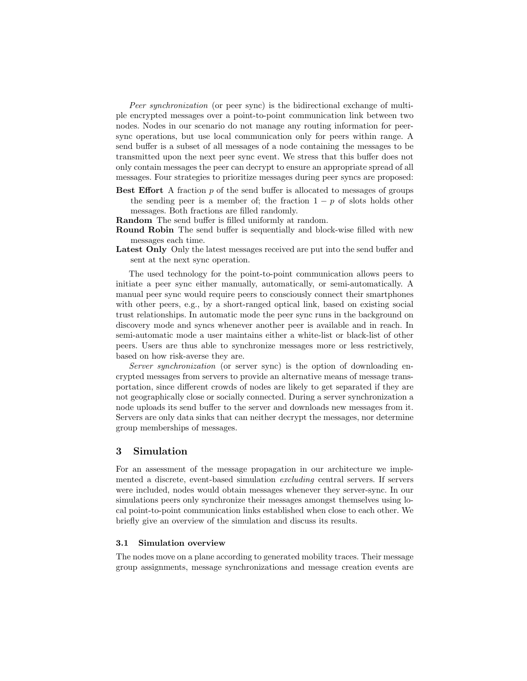Peer synchronization (or peer sync) is the bidirectional exchange of multiple encrypted messages over a point-to-point communication link between two nodes. Nodes in our scenario do not manage any routing information for peersync operations, but use local communication only for peers within range. A send buffer is a subset of all messages of a node containing the messages to be transmitted upon the next peer sync event. We stress that this buffer does not only contain messages the peer can decrypt to ensure an appropriate spread of all messages. Four strategies to prioritize messages during peer syncs are proposed:

- Best Effort A fraction p of the send buffer is allocated to messages of groups the sending peer is a member of; the fraction  $1 - p$  of slots holds other messages. Both fractions are filled randomly.
- Random The send buffer is filled uniformly at random.
- Round Robin The send buffer is sequentially and block-wise filled with new messages each time.
- Latest Only Only the latest messages received are put into the send buffer and sent at the next sync operation.

The used technology for the point-to-point communication allows peers to initiate a peer sync either manually, automatically, or semi-automatically. A manual peer sync would require peers to consciously connect their smartphones with other peers, e.g., by a short-ranged optical link, based on existing social trust relationships. In automatic mode the peer sync runs in the background on discovery mode and syncs whenever another peer is available and in reach. In semi-automatic mode a user maintains either a white-list or black-list of other peers. Users are thus able to synchronize messages more or less restrictively, based on how risk-averse they are.

Server synchronization (or server sync) is the option of downloading encrypted messages from servers to provide an alternative means of message transportation, since different crowds of nodes are likely to get separated if they are not geographically close or socially connected. During a server synchronization a node uploads its send buffer to the server and downloads new messages from it. Servers are only data sinks that can neither decrypt the messages, nor determine group memberships of messages.

### 3 Simulation

For an assessment of the message propagation in our architecture we implemented a discrete, event-based simulation excluding central servers. If servers were included, nodes would obtain messages whenever they server-sync. In our simulations peers only synchronize their messages amongst themselves using local point-to-point communication links established when close to each other. We briefly give an overview of the simulation and discuss its results.

#### 3.1 Simulation overview

The nodes move on a plane according to generated mobility traces. Their message group assignments, message synchronizations and message creation events are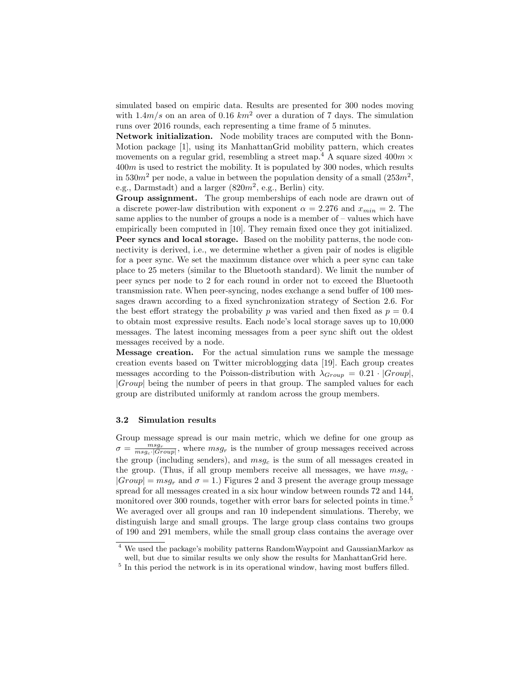simulated based on empiric data. Results are presented for 300 nodes moving with  $1.4m/s$  on an area of 0.16  $km^2$  over a duration of 7 days. The simulation runs over 2016 rounds, each representing a time frame of 5 minutes.

Network initialization. Node mobility traces are computed with the Bonn-Motion package [1], using its ManhattanGrid mobility pattern, which creates movements on a regular grid, resembling a street map.<sup>4</sup> A square sized  $400m \times$ 400m is used to restrict the mobility. It is populated by 300 nodes, which results in 530 $m^2$  per node, a value in between the population density of a small  $(253m^2,$ e.g., Darmstadt) and a larger  $(820m^2, e.g., Berlin)$  city.

Group assignment. The group memberships of each node are drawn out of a discrete power-law distribution with exponent  $\alpha = 2.276$  and  $x_{min} = 2$ . The same applies to the number of groups a node is a member of – values which have empirically been computed in [10]. They remain fixed once they got initialized. Peer syncs and local storage. Based on the mobility patterns, the node connectivity is derived, i.e., we determine whether a given pair of nodes is eligible for a peer sync. We set the maximum distance over which a peer sync can take place to 25 meters (similar to the Bluetooth standard). We limit the number of peer syncs per node to 2 for each round in order not to exceed the Bluetooth transmission rate. When peer-syncing, nodes exchange a send buffer of 100 messages drawn according to a fixed synchronization strategy of Section 2.6. For the best effort strategy the probability p was varied and then fixed as  $p = 0.4$ to obtain most expressive results. Each node's local storage saves up to 10,000 messages. The latest incoming messages from a peer sync shift out the oldest messages received by a node.

Message creation. For the actual simulation runs we sample the message creation events based on Twitter microblogging data [19]. Each group creates messages according to the Poisson-distribution with  $\lambda_{Group} = 0.21 \cdot |Group|$ ,  $|Group|$  being the number of peers in that group. The sampled values for each group are distributed uniformly at random across the group members.

#### 3.2 Simulation results

Group message spread is our main metric, which we define for one group as  $\sigma = \frac{msg_r}{msg_c\cdot|Group|}$ , where  $msg_r$  is the number of group messages received across the group (including senders), and  $msg<sub>c</sub>$  is the sum of all messages created in the group. (Thus, if all group members receive all messages, we have  $msq_c$ .  $|Group| = msg_r$  and  $\sigma = 1$ . Figures 2 and 3 present the average group message spread for all messages created in a six hour window between rounds 72 and 144, monitored over 300 rounds, together with error bars for selected points in time.<sup>5</sup> We averaged over all groups and ran 10 independent simulations. Thereby, we distinguish large and small groups. The large group class contains two groups of 190 and 291 members, while the small group class contains the average over

<sup>4</sup> We used the package's mobility patterns RandomWaypoint and GaussianMarkov as well, but due to similar results we only show the results for ManhattanGrid here.

<sup>&</sup>lt;sup>5</sup> In this period the network is in its operational window, having most buffers filled.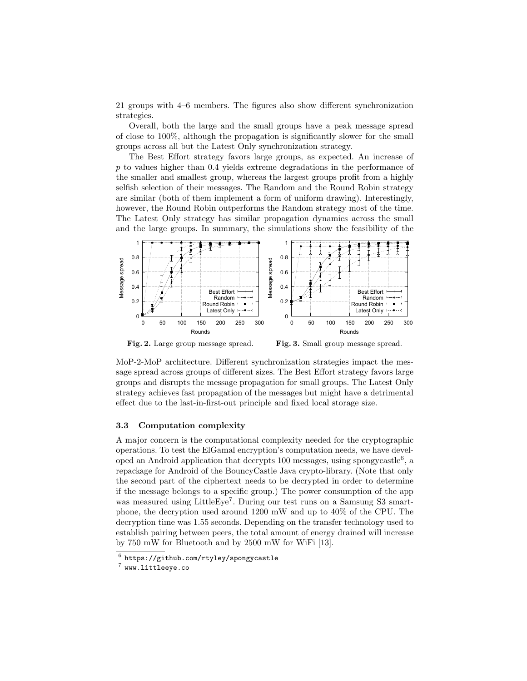21 groups with 4–6 members. The figures also show different synchronization strategies.

Overall, both the large and the small groups have a peak message spread of close to 100%, although the propagation is significantly slower for the small groups across all but the Latest Only synchronization strategy.

The Best Effort strategy favors large groups, as expected. An increase of p to values higher than 0.4 yields extreme degradations in the performance of the smaller and smallest group, whereas the largest groups profit from a highly selfish selection of their messages. The Random and the Round Robin strategy are similar (both of them implement a form of uniform drawing). Interestingly, however, the Round Robin outperforms the Random strategy most of the time. The Latest Only strategy has similar propagation dynamics across the small and the large groups. In summary, the simulations show the feasibility of the



Fig. 2. Large group message spread. Fig. 3. Small group message spread.

MoP-2-MoP architecture. Different synchronization strategies impact the message spread across groups of different sizes. The Best Effort strategy favors large groups and disrupts the message propagation for small groups. The Latest Only strategy achieves fast propagation of the messages but might have a detrimental effect due to the last-in-first-out principle and fixed local storage size.

### 3.3 Computation complexity

A major concern is the computational complexity needed for the cryptographic operations. To test the ElGamal encryption's computation needs, we have developed an Android application that decrypts 100 messages, using spongycastle<sup>6</sup>, a repackage for Android of the BouncyCastle Java crypto-library. (Note that only the second part of the ciphertext needs to be decrypted in order to determine if the message belongs to a specific group.) The power consumption of the app was measured using LittleEye<sup>7</sup>. During our test runs on a Samsung S3 smartphone, the decryption used around 1200 mW and up to 40% of the CPU. The decryption time was 1.55 seconds. Depending on the transfer technology used to establish pairing between peers, the total amount of energy drained will increase by 750 mW for Bluetooth and by 2500 mW for WiFi [13].

 $^6$  https://github.com/rtyley/spongycastle

 $^7$  www.littleeye.co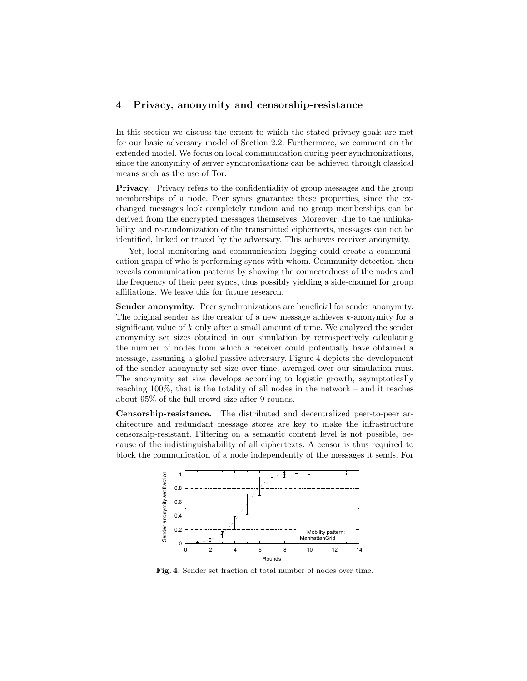# 4 Privacy, anonymity and censorship-resistance

In this section we discuss the extent to which the stated privacy goals are met for our basic adversary model of Section 2.2. Furthermore, we comment on the extended model. We focus on local communication during peer synchronizations, since the anonymity of server synchronizations can be achieved through classical means such as the use of Tor.

Privacy. Privacy refers to the confidentiality of group messages and the group memberships of a node. Peer syncs guarantee these properties, since the exchanged messages look completely random and no group memberships can be derived from the encrypted messages themselves. Moreover, due to the unlinkability and re-randomization of the transmitted ciphertexts, messages can not be identified, linked or traced by the adversary. This achieves receiver anonymity.

Yet, local monitoring and communication logging could create a communication graph of who is performing syncs with whom. Community detection then reveals communication patterns by showing the connectedness of the nodes and the frequency of their peer syncs, thus possibly yielding a side-channel for group affiliations. We leave this for future research.

Sender anonymity. Peer synchronizations are beneficial for sender anonymity. The original sender as the creator of a new message achieves k-anonymity for a significant value of k only after a small amount of time. We analyzed the sender anonymity set sizes obtained in our simulation by retrospectively calculating the number of nodes from which a receiver could potentially have obtained a message, assuming a global passive adversary. Figure 4 depicts the development of the sender anonymity set size over time, averaged over our simulation runs. The anonymity set size develops according to logistic growth, asymptotically reaching 100%, that is the totality of all nodes in the network – and it reaches about 95% of the full crowd size after 9 rounds.

Censorship-resistance. The distributed and decentralized peer-to-peer architecture and redundant message stores are key to make the infrastructure censorship-resistant. Filtering on a semantic content level is not possible, because of the indistinguishability of all ciphertexts. A censor is thus required to block the communication of a node independently of the messages it sends. For



Fig. 4. Sender set fraction of total number of nodes over time.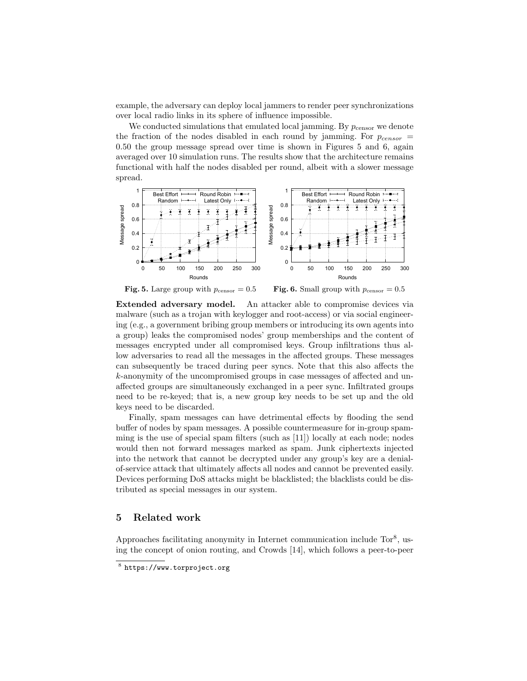example, the adversary can deploy local jammers to render peer synchronizations over local radio links in its sphere of influence impossible.

We conducted simulations that emulated local jamming. By  $p_{\text{censor}}$  we denote the fraction of the nodes disabled in each round by jamming. For  $p_{censor}$ 0.50 the group message spread over time is shown in Figures 5 and 6, again averaged over 10 simulation runs. The results show that the architecture remains functional with half the nodes disabled per round, albeit with a slower message spread.



Extended adversary model. An attacker able to compromise devices via malware (such as a trojan with keylogger and root-access) or via social engineering (e.g., a government bribing group members or introducing its own agents into a group) leaks the compromised nodes' group memberships and the content of messages encrypted under all compromised keys. Group infiltrations thus allow adversaries to read all the messages in the affected groups. These messages can subsequently be traced during peer syncs. Note that this also affects the k-anonymity of the uncompromised groups in case messages of affected and unaffected groups are simultaneously exchanged in a peer sync. Infiltrated groups need to be re-keyed; that is, a new group key needs to be set up and the old keys need to be discarded.

Finally, spam messages can have detrimental effects by flooding the send buffer of nodes by spam messages. A possible countermeasure for in-group spamming is the use of special spam filters (such as  $[11]$ ) locally at each node; nodes would then not forward messages marked as spam. Junk ciphertexts injected into the network that cannot be decrypted under any group's key are a denialof-service attack that ultimately affects all nodes and cannot be prevented easily. Devices performing DoS attacks might be blacklisted; the blacklists could be distributed as special messages in our system.

# 5 Related work

Approaches facilitating anonymity in Internet communication include Tor<sup>8</sup>, using the concept of onion routing, and Crowds [14], which follows a peer-to-peer

<sup>8</sup> https://www.torproject.org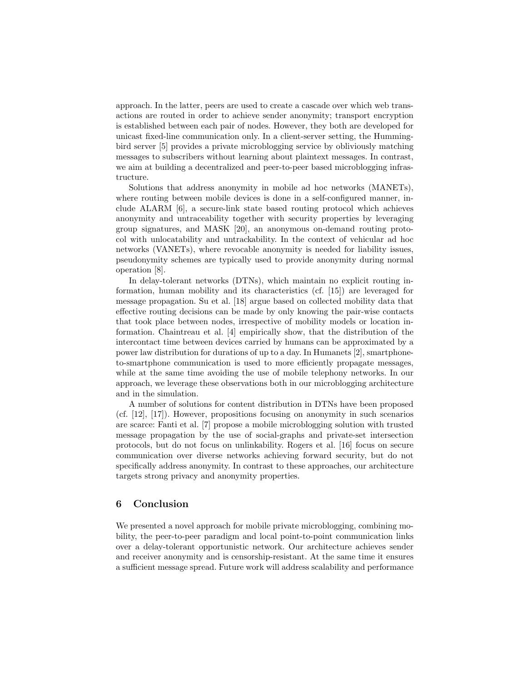approach. In the latter, peers are used to create a cascade over which web transactions are routed in order to achieve sender anonymity; transport encryption is established between each pair of nodes. However, they both are developed for unicast fixed-line communication only. In a client-server setting, the Hummingbird server [5] provides a private microblogging service by obliviously matching messages to subscribers without learning about plaintext messages. In contrast, we aim at building a decentralized and peer-to-peer based microblogging infrastructure.

Solutions that address anonymity in mobile ad hoc networks (MANETs), where routing between mobile devices is done in a self-configured manner, include ALARM [6], a secure-link state based routing protocol which achieves anonymity and untraceability together with security properties by leveraging group signatures, and MASK [20], an anonymous on-demand routing protocol with unlocatability and untrackability. In the context of vehicular ad hoc networks (VANETs), where revocable anonymity is needed for liability issues, pseudonymity schemes are typically used to provide anonymity during normal operation [8].

In delay-tolerant networks (DTNs), which maintain no explicit routing information, human mobility and its characteristics (cf. [15]) are leveraged for message propagation. Su et al. [18] argue based on collected mobility data that effective routing decisions can be made by only knowing the pair-wise contacts that took place between nodes, irrespective of mobility models or location information. Chaintreau et al. [4] empirically show, that the distribution of the intercontact time between devices carried by humans can be approximated by a power law distribution for durations of up to a day. In Humanets [2], smartphoneto-smartphone communication is used to more efficiently propagate messages, while at the same time avoiding the use of mobile telephony networks. In our approach, we leverage these observations both in our microblogging architecture and in the simulation.

A number of solutions for content distribution in DTNs have been proposed (cf.  $[12]$ ,  $[17]$ ). However, propositions focusing on anonymity in such scenarios are scarce: Fanti et al. [7] propose a mobile microblogging solution with trusted message propagation by the use of social-graphs and private-set intersection protocols, but do not focus on unlinkability. Rogers et al. [16] focus on secure communication over diverse networks achieving forward security, but do not specifically address anonymity. In contrast to these approaches, our architecture targets strong privacy and anonymity properties.

### 6 Conclusion

We presented a novel approach for mobile private microblogging, combining mobility, the peer-to-peer paradigm and local point-to-point communication links over a delay-tolerant opportunistic network. Our architecture achieves sender and receiver anonymity and is censorship-resistant. At the same time it ensures a sufficient message spread. Future work will address scalability and performance